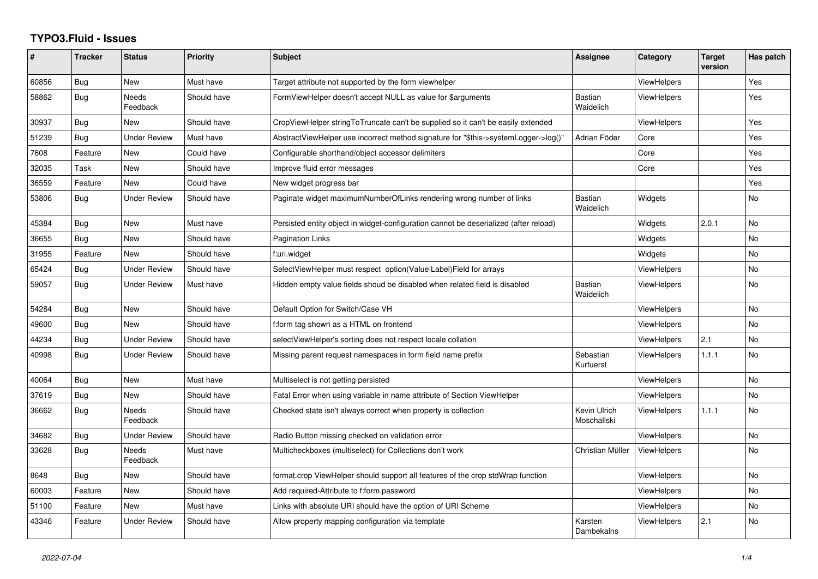## **TYPO3.Fluid - Issues**

| ∦     | <b>Tracker</b> | <b>Status</b>            | <b>Priority</b> | <b>Subject</b>                                                                        | <b>Assignee</b>             | Category           | <b>Target</b><br>version | Has patch      |
|-------|----------------|--------------------------|-----------------|---------------------------------------------------------------------------------------|-----------------------------|--------------------|--------------------------|----------------|
| 60856 | Bug            | <b>New</b>               | Must have       | Target attribute not supported by the form viewhelper                                 |                             | <b>ViewHelpers</b> |                          | Yes            |
| 58862 | Bug            | Needs<br>Feedback        | Should have     | FormViewHelper doesn't accept NULL as value for \$arguments                           | Bastian<br>Waidelich        | <b>ViewHelpers</b> |                          | Yes            |
| 30937 | <b>Bug</b>     | New                      | Should have     | CropViewHelper stringToTruncate can't be supplied so it can't be easily extended      |                             | <b>ViewHelpers</b> |                          | Yes            |
| 51239 | <b>Bug</b>     | Under Review             | Must have       | AbstractViewHelper use incorrect method signature for "\$this->systemLogger->log()"   | Adrian Föder                | Core               |                          | Yes            |
| 7608  | Feature        | New                      | Could have      | Configurable shorthand/object accessor delimiters                                     |                             | Core               |                          | Yes            |
| 32035 | Task           | <b>New</b>               | Should have     | Improve fluid error messages                                                          |                             | Core               |                          | Yes            |
| 36559 | Feature        | <b>New</b>               | Could have      | New widget progress bar                                                               |                             |                    |                          | Yes            |
| 53806 | Bug            | Under Review             | Should have     | Paginate widget maximumNumberOfLinks rendering wrong number of links                  | <b>Bastian</b><br>Waidelich | Widgets            |                          | No.            |
| 45384 | Bug            | <b>New</b>               | Must have       | Persisted entity object in widget-configuration cannot be deserialized (after reload) |                             | Widgets            | 2.0.1                    | <b>No</b>      |
| 36655 | Bug            | New                      | Should have     | Pagination Links                                                                      |                             | Widgets            |                          | No             |
| 31955 | Feature        | New                      | Should have     | f:uri.widget                                                                          |                             | Widgets            |                          | No             |
| 65424 | Bug            | <b>Under Review</b>      | Should have     | SelectViewHelper must respect option(Value Label)Field for arrays                     |                             | <b>ViewHelpers</b> |                          | <b>No</b>      |
| 59057 | <b>Bug</b>     | <b>Under Review</b>      | Must have       | Hidden empty value fields shoud be disabled when related field is disabled            | <b>Bastian</b><br>Waidelich | <b>ViewHelpers</b> |                          | <b>No</b>      |
| 54284 | Bug            | <b>New</b>               | Should have     | Default Option for Switch/Case VH                                                     |                             | <b>ViewHelpers</b> |                          | <b>No</b>      |
| 49600 | <b>Bug</b>     | New                      | Should have     | f:form tag shown as a HTML on frontend                                                |                             | ViewHelpers        |                          | N <sub>o</sub> |
| 44234 | Bug            | Under Review             | Should have     | selectViewHelper's sorting does not respect locale collation                          |                             | ViewHelpers        | 2.1                      | No             |
| 40998 | Bug            | <b>Under Review</b>      | Should have     | Missing parent request namespaces in form field name prefix                           | Sebastian<br>Kurfuerst      | <b>ViewHelpers</b> | 1.1.1                    | <b>No</b>      |
| 40064 | Bug            | New                      | Must have       | Multiselect is not getting persisted                                                  |                             | <b>ViewHelpers</b> |                          | No             |
| 37619 | Bug            | <b>New</b>               | Should have     | Fatal Error when using variable in name attribute of Section ViewHelper               |                             | <b>ViewHelpers</b> |                          | <b>No</b>      |
| 36662 | <b>Bug</b>     | <b>Needs</b><br>Feedback | Should have     | Checked state isn't always correct when property is collection                        | Kevin Ulrich<br>Moschallski | <b>ViewHelpers</b> | 1.1.1                    | <b>No</b>      |
| 34682 | Bug            | Under Review             | Should have     | Radio Button missing checked on validation error                                      |                             | <b>ViewHelpers</b> |                          | No             |
| 33628 | Bug            | <b>Needs</b><br>Feedback | Must have       | Multicheckboxes (multiselect) for Collections don't work                              | Christian Müller            | <b>ViewHelpers</b> |                          | <b>No</b>      |
| 8648  | Bug            | New                      | Should have     | format.crop ViewHelper should support all features of the crop stdWrap function       |                             | <b>ViewHelpers</b> |                          | <b>No</b>      |
| 60003 | Feature        | <b>New</b>               | Should have     | Add required-Attribute to f:form.password                                             |                             | <b>ViewHelpers</b> |                          | No             |
| 51100 | Feature        | <b>New</b>               | Must have       | Links with absolute URI should have the option of URI Scheme                          |                             | <b>ViewHelpers</b> |                          | <b>No</b>      |
| 43346 | Feature        | <b>Under Review</b>      | Should have     | Allow property mapping configuration via template                                     | Karsten<br>Dambekalns       | <b>ViewHelpers</b> | 2.1                      | <b>No</b>      |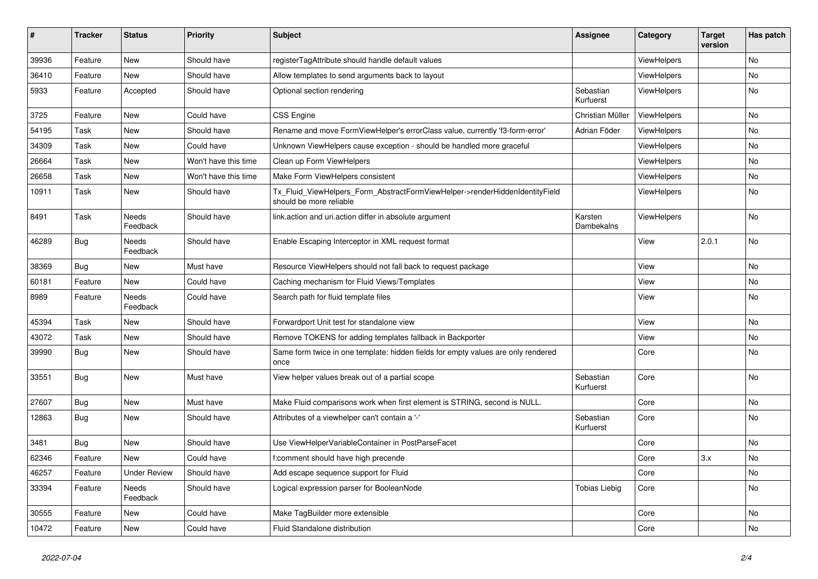| $\vert$ # | <b>Tracker</b> | <b>Status</b>     | <b>Priority</b>      | <b>Subject</b>                                                                                         | <b>Assignee</b>        | Category           | <b>Target</b><br>version | Has patch |
|-----------|----------------|-------------------|----------------------|--------------------------------------------------------------------------------------------------------|------------------------|--------------------|--------------------------|-----------|
| 39936     | Feature        | <b>New</b>        | Should have          | registerTagAttribute should handle default values                                                      |                        | <b>ViewHelpers</b> |                          | <b>No</b> |
| 36410     | Feature        | New               | Should have          | Allow templates to send arguments back to layout                                                       |                        | ViewHelpers        |                          | <b>No</b> |
| 5933      | Feature        | Accepted          | Should have          | Optional section rendering                                                                             | Sebastian<br>Kurfuerst | ViewHelpers        |                          | <b>No</b> |
| 3725      | Feature        | New               | Could have           | <b>CSS Engine</b>                                                                                      | Christian Müller       | ViewHelpers        |                          | <b>No</b> |
| 54195     | Task           | New               | Should have          | Rename and move FormViewHelper's errorClass value, currently 'f3-form-error'                           | Adrian Föder           | ViewHelpers        |                          | No        |
| 34309     | Task           | New               | Could have           | Unknown ViewHelpers cause exception - should be handled more graceful                                  |                        | <b>ViewHelpers</b> |                          | No        |
| 26664     | Task           | New               | Won't have this time | Clean up Form ViewHelpers                                                                              |                        | <b>ViewHelpers</b> |                          | No        |
| 26658     | Task           | New               | Won't have this time | Make Form ViewHelpers consistent                                                                       |                        | <b>ViewHelpers</b> |                          | <b>No</b> |
| 10911     | Task           | New               | Should have          | Tx Fluid ViewHelpers Form AbstractFormViewHelper->renderHiddenIdentityField<br>should be more reliable |                        | <b>ViewHelpers</b> |                          | No        |
| 8491      | Task           | Needs<br>Feedback | Should have          | link.action and uri.action differ in absolute argument                                                 | Karsten<br>Dambekalns  | <b>ViewHelpers</b> |                          | <b>No</b> |
| 46289     | <b>Bug</b>     | Needs<br>Feedback | Should have          | Enable Escaping Interceptor in XML request format                                                      |                        | View               | 2.0.1                    | <b>No</b> |
| 38369     | <b>Bug</b>     | New               | Must have            | Resource ViewHelpers should not fall back to request package                                           |                        | View               |                          | No        |
| 60181     | Feature        | New               | Could have           | Caching mechanism for Fluid Views/Templates                                                            |                        | View               |                          | No        |
| 8989      | Feature        | Needs<br>Feedback | Could have           | Search path for fluid template files                                                                   |                        | View               |                          | No        |
| 45394     | Task           | New               | Should have          | Forwardport Unit test for standalone view                                                              |                        | View               |                          | No        |
| 43072     | Task           | New               | Should have          | Remove TOKENS for adding templates fallback in Backporter                                              |                        | View               |                          | No        |
| 39990     | Bug            | New               | Should have          | Same form twice in one template: hidden fields for empty values are only rendered<br>once              |                        | Core               |                          | No        |
| 33551     | <b>Bug</b>     | New               | Must have            | View helper values break out of a partial scope                                                        | Sebastian<br>Kurfuerst | Core               |                          | <b>No</b> |
| 27607     | <b>Bug</b>     | New               | Must have            | Make Fluid comparisons work when first element is STRING, second is NULL.                              |                        | Core               |                          | No        |
| 12863     | <b>Bug</b>     | New               | Should have          | Attributes of a viewhelper can't contain a '-'                                                         | Sebastian<br>Kurfuerst | Core               |                          | No        |
| 3481      | Bug            | New               | Should have          | Use ViewHelperVariableContainer in PostParseFacet                                                      |                        | Core               |                          | <b>No</b> |
| 62346     | Feature        | <b>New</b>        | Could have           | f:comment should have high precende                                                                    |                        | Core               | 3.x                      | <b>No</b> |
| 46257     | Feature        | Under Review      | Should have          | Add escape sequence support for Fluid                                                                  |                        | Core               |                          | <b>No</b> |
| 33394     | Feature        | Needs<br>Feedback | Should have          | Logical expression parser for BooleanNode                                                              | Tobias Liebig          | Core               |                          | No        |
| 30555     | Feature        | New               | Could have           | Make TagBuilder more extensible                                                                        |                        | Core               |                          | <b>No</b> |
| 10472     | Feature        | New               | Could have           | Fluid Standalone distribution                                                                          |                        | Core               |                          | <b>No</b> |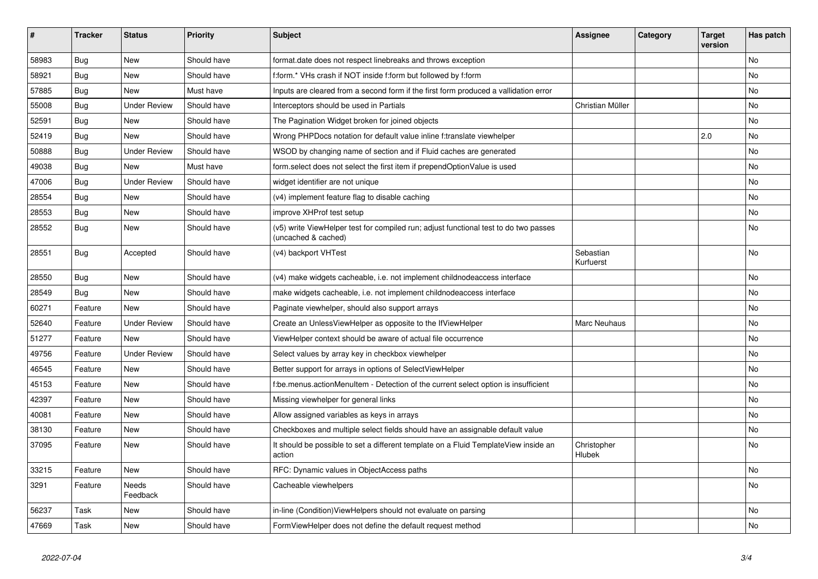| $\vert$ # | <b>Tracker</b> | <b>Status</b>       | <b>Priority</b> | <b>Subject</b>                                                                                              | <b>Assignee</b>        | Category | <b>Target</b><br>version | Has patch |
|-----------|----------------|---------------------|-----------------|-------------------------------------------------------------------------------------------------------------|------------------------|----------|--------------------------|-----------|
| 58983     | Bug            | New                 | Should have     | format.date does not respect linebreaks and throws exception                                                |                        |          |                          | <b>No</b> |
| 58921     | Bug            | New                 | Should have     | f:form.* VHs crash if NOT inside f:form but followed by f:form                                              |                        |          |                          | <b>No</b> |
| 57885     | Bug            | <b>New</b>          | Must have       | Inputs are cleared from a second form if the first form produced a vallidation error                        |                        |          |                          | <b>No</b> |
| 55008     | <b>Bug</b>     | <b>Under Review</b> | Should have     | Interceptors should be used in Partials                                                                     | Christian Müller       |          |                          | <b>No</b> |
| 52591     | Bug            | New                 | Should have     | The Pagination Widget broken for joined objects                                                             |                        |          |                          | <b>No</b> |
| 52419     | <b>Bug</b>     | New                 | Should have     | Wrong PHPDocs notation for default value inline f:translate viewhelper                                      |                        |          | 2.0                      | <b>No</b> |
| 50888     | <b>Bug</b>     | <b>Under Review</b> | Should have     | WSOD by changing name of section and if Fluid caches are generated                                          |                        |          |                          | No        |
| 49038     | <b>Bug</b>     | <b>New</b>          | Must have       | form select does not select the first item if prependOptionValue is used                                    |                        |          |                          | <b>No</b> |
| 47006     | <b>Bug</b>     | <b>Under Review</b> | Should have     | widget identifier are not unique                                                                            |                        |          |                          | <b>No</b> |
| 28554     | Bug            | New                 | Should have     | (v4) implement feature flag to disable caching                                                              |                        |          |                          | <b>No</b> |
| 28553     | <b>Bug</b>     | New                 | Should have     | improve XHProf test setup                                                                                   |                        |          |                          | No        |
| 28552     | Bug            | New                 | Should have     | (v5) write ViewHelper test for compiled run; adjust functional test to do two passes<br>(uncached & cached) |                        |          |                          | No        |
| 28551     | Bug            | Accepted            | Should have     | (v4) backport VHTest                                                                                        | Sebastian<br>Kurfuerst |          |                          | <b>No</b> |
| 28550     | <b>Bug</b>     | New                 | Should have     | (v4) make widgets cacheable, i.e. not implement childnodeaccess interface                                   |                        |          |                          | <b>No</b> |
| 28549     | Bug            | New                 | Should have     | make widgets cacheable, i.e. not implement childnodeaccess interface                                        |                        |          |                          | No        |
| 60271     | Feature        | <b>New</b>          | Should have     | Paginate viewhelper, should also support arrays                                                             |                        |          |                          | <b>No</b> |
| 52640     | Feature        | <b>Under Review</b> | Should have     | Create an UnlessViewHelper as opposite to the IfViewHelper                                                  | Marc Neuhaus           |          |                          | No        |
| 51277     | Feature        | New                 | Should have     | ViewHelper context should be aware of actual file occurrence                                                |                        |          |                          | No        |
| 49756     | Feature        | <b>Under Review</b> | Should have     | Select values by array key in checkbox viewhelper                                                           |                        |          |                          | No        |
| 46545     | Feature        | New                 | Should have     | Better support for arrays in options of SelectViewHelper                                                    |                        |          |                          | No        |
| 45153     | Feature        | <b>New</b>          | Should have     | f:be.menus.actionMenuItem - Detection of the current select option is insufficient                          |                        |          |                          | No        |
| 42397     | Feature        | <b>New</b>          | Should have     | Missing viewhelper for general links                                                                        |                        |          |                          | No        |
| 40081     | Feature        | New                 | Should have     | Allow assigned variables as keys in arrays                                                                  |                        |          |                          | No        |
| 38130     | Feature        | New                 | Should have     | Checkboxes and multiple select fields should have an assignable default value                               |                        |          |                          | No        |
| 37095     | Feature        | New                 | Should have     | It should be possible to set a different template on a Fluid TemplateView inside an<br>action               | Christopher<br>Hlubek  |          |                          | No        |
| 33215     | Feature        | <b>New</b>          | Should have     | RFC: Dynamic values in ObjectAccess paths                                                                   |                        |          |                          | No        |
| 3291      | Feature        | Needs<br>Feedback   | Should have     | Cacheable viewhelpers                                                                                       |                        |          |                          | No        |
| 56237     | Task           | New                 | Should have     | in-line (Condition) ViewHelpers should not evaluate on parsing                                              |                        |          |                          | No        |
| 47669     | Task           | New                 | Should have     | FormViewHelper does not define the default request method                                                   |                        |          |                          | No        |